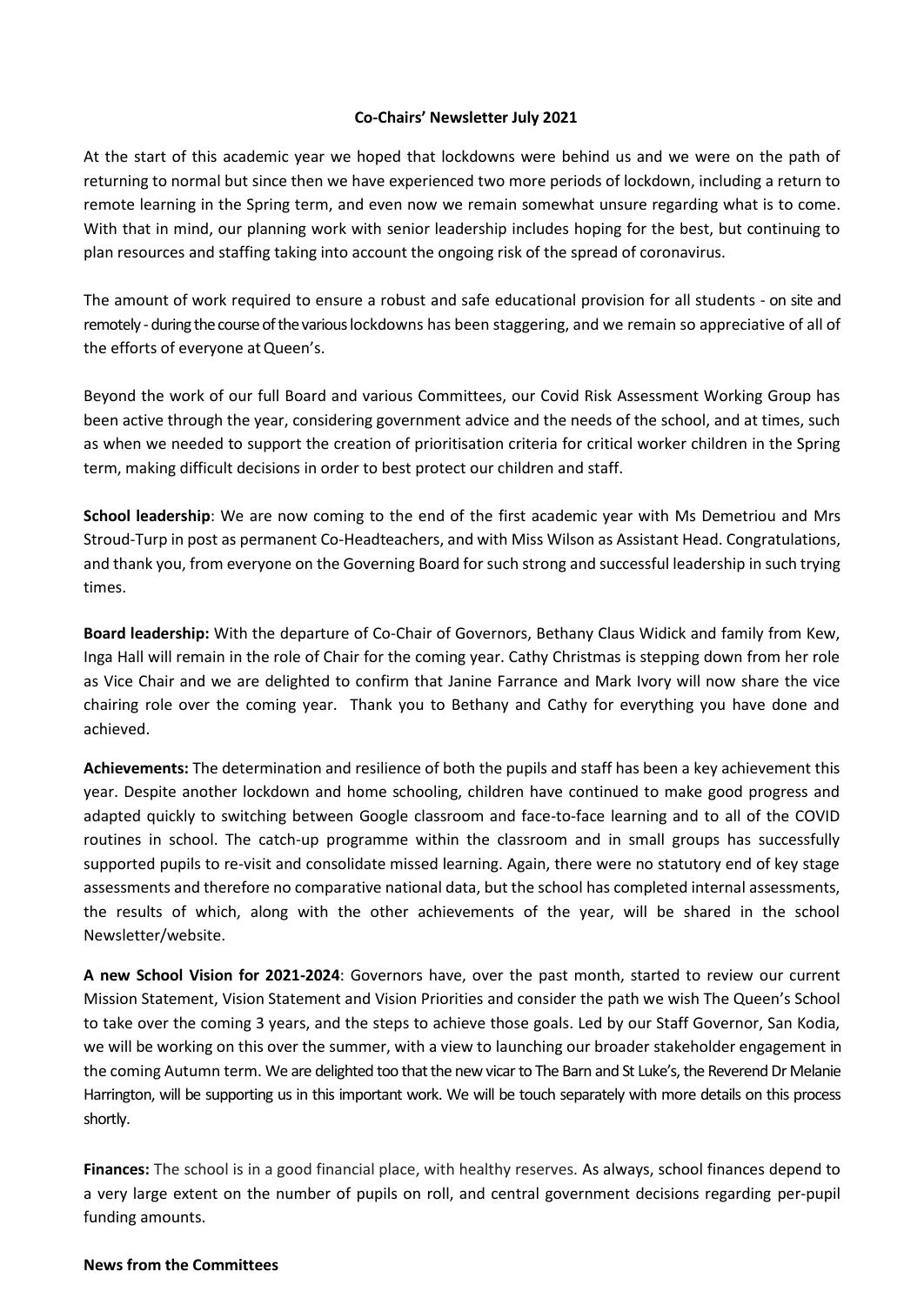## **Co-Chairs' Newsletter July 2021**

At the start of this academic year we hoped that lockdowns were behind us and we were on the path of returning to normal but since then we have experienced two more periods of lockdown, including a return to remote learning in the Spring term, and even now we remain somewhat unsure regarding what is to come. With that in mind, our planning work with senior leadership includes hoping for the best, but continuing to plan resources and staffing taking into account the ongoing risk of the spread of coronavirus.

The amount of work required to ensure a robust and safe educational provision for all students - on site and remotely -during the course of the various lockdowns has been staggering, and we remain so appreciative of all of the efforts of everyone at Queen's.

Beyond the work of our full Board and various Committees, our Covid Risk Assessment Working Group has been active through the year, considering government advice and the needs of the school, and at times, such as when we needed to support the creation of prioritisation criteria for critical worker children in the Spring term, making difficult decisions in order to best protect our children and staff.

**School leadership**: We are now coming to the end of the first academic year with Ms Demetriou and Mrs Stroud-Turp in post as permanent Co-Headteachers, and with Miss Wilson as Assistant Head. Congratulations, and thank you, from everyone on the Governing Board for such strong and successful leadership in such trying times.

**Board leadership:** With the departure of Co-Chair of Governors, Bethany Claus Widick and family from Kew, Inga Hall will remain in the role of Chair for the coming year. Cathy Christmas is stepping down from her role as Vice Chair and we are delighted to confirm that Janine Farrance and Mark Ivory will now share the vice chairing role over the coming year. Thank you to Bethany and Cathy for everything you have done and achieved.

**Achievements:** The determination and resilience of both the pupils and staff has been a key achievement this year. Despite another lockdown and home schooling, children have continued to make good progress and adapted quickly to switching between Google classroom and face-to-face learning and to all of the COVID routines in school. The catch-up programme within the classroom and in small groups has successfully supported pupils to re-visit and consolidate missed learning. Again, there were no statutory end of key stage assessments and therefore no comparative national data, but the school has completed internal assessments, the results of which, along with the other achievements of the year, will be shared in the school Newsletter/website.

**A new School Vision for 2021-2024**: Governors have, over the past month, started to review our current Mission Statement, Vision Statement and Vision Priorities and consider the path we wish The Queen's School to take over the coming 3 years, and the steps to achieve those goals. Led by our Staff Governor, San Kodia, we will be working on this over the summer, with a view to launching our broader stakeholder engagement in the coming Autumn term. We are delighted too that the new vicar to The Barn and St Luke's, the Reverend Dr Melanie Harrington, will be supporting us in this important work. We will be touch separately with more details on this process shortly.

**Finances:** The school is in a good financial place, with healthy reserves. As always, school finances depend to a very large extent on the number of pupils on roll, and central government decisions regarding per-pupil funding amounts.

## **News from the Committees**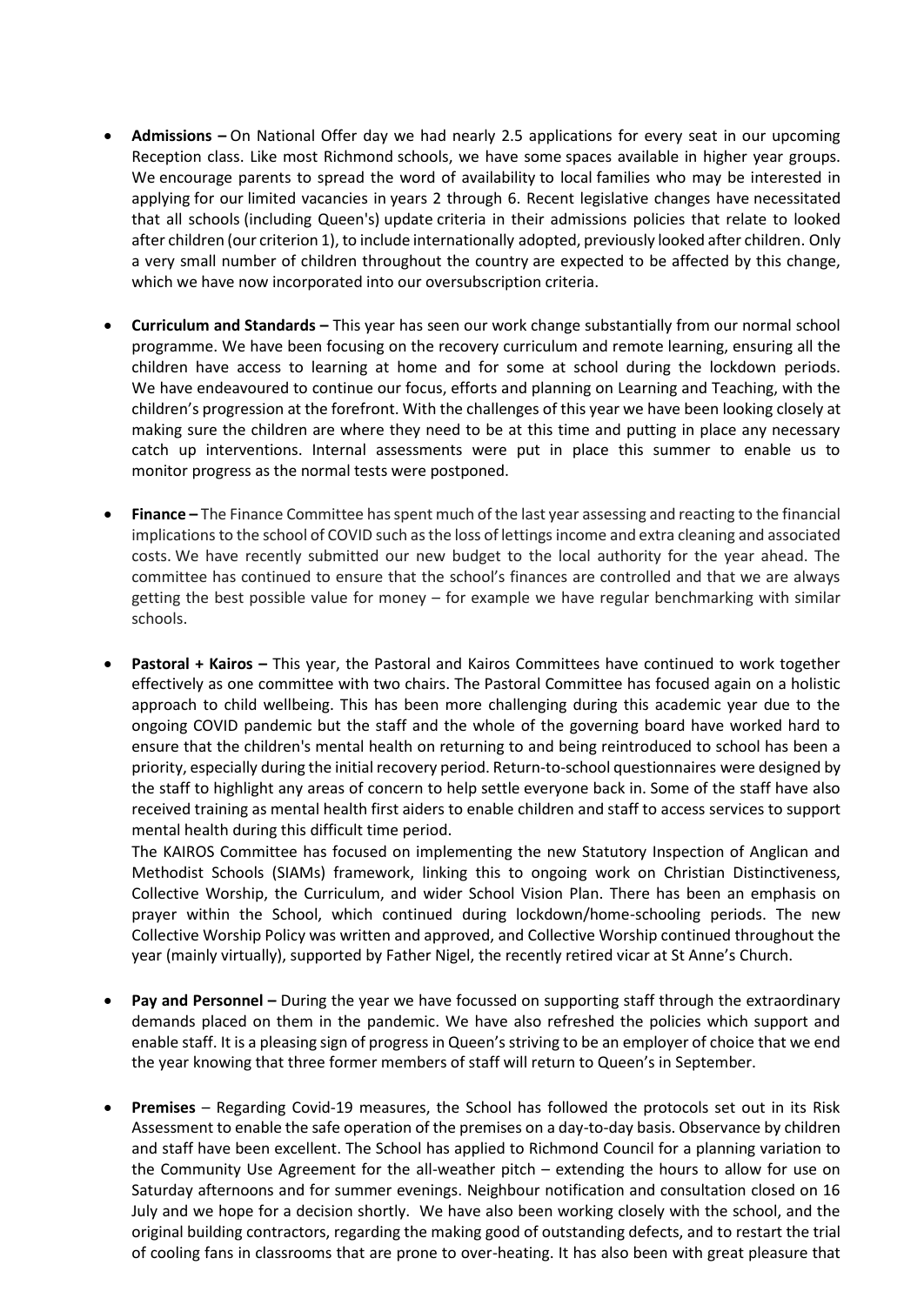- **Admissions –** On National Offer day we had nearly 2.5 applications for every seat in our upcoming Reception class. Like most Richmond schools, we have some spaces available in higher year groups. We encourage parents to spread the word of availability to local families who may be interested in applying for our limited vacancies in years 2 through 6. Recent legislative changes have necessitated that all schools (including Queen's) update criteria in their admissions policies that relate to looked after children (our criterion 1), to include internationally adopted, previously looked after children. Only a very small number of children throughout the country are expected to be affected by this change, which we have now incorporated into our oversubscription criteria.
- **Curriculum and Standards –** This year has seen our work change substantially from our normal school programme. We have been focusing on the recovery curriculum and remote learning, ensuring all the children have access to learning at home and for some at school during the lockdown periods. We have endeavoured to continue our focus, efforts and planning on Learning and Teaching, with the children's progression at the forefront. With the challenges of this year we have been looking closely at making sure the children are where they need to be at this time and putting in place any necessary catch up interventions. Internal assessments were put in place this summer to enable us to monitor progress as the normal tests were postponed.
- **Finance –** The Finance Committee has spent much of the last year assessing and reacting to the financial implications to the school of COVID such as the loss of lettings income and extra cleaning and associated costs. We have recently submitted our new budget to the local authority for the year ahead. The committee has continued to ensure that the school's finances are controlled and that we are always getting the best possible value for money – for example we have regular benchmarking with similar schools.
- **Pastoral + Kairos –** This year, the Pastoral and Kairos Committees have continued to work together effectively as one committee with two chairs. The Pastoral Committee has focused again on a holistic approach to child wellbeing. This has been more challenging during this academic year due to the ongoing COVID pandemic but the staff and the whole of the governing board have worked hard to ensure that the children's mental health on returning to and being reintroduced to school has been a priority, especially during the initial recovery period. Return-to-school questionnaires were designed by the staff to highlight any areas of concern to help settle everyone back in. Some of the staff have also received training as mental health first aiders to enable children and staff to access services to support mental health during this difficult time period.

The KAIROS Committee has focused on implementing the new Statutory Inspection of Anglican and Methodist Schools (SIAMs) framework, linking this to ongoing work on Christian Distinctiveness, Collective Worship, the Curriculum, and wider School Vision Plan. There has been an emphasis on prayer within the School, which continued during lockdown/home-schooling periods. The new Collective Worship Policy was written and approved, and Collective Worship continued throughout the year (mainly virtually), supported by Father Nigel, the recently retired vicar at St Anne's Church.

- **Pay and Personnel –** During the year we have focussed on supporting staff through the extraordinary demands placed on them in the pandemic. We have also refreshed the policies which support and enable staff. It is a pleasing sign of progress in Queen's striving to be an employer of choice that we end the year knowing that three former members of staff will return to Queen's in September.
- **Premises** Regarding Covid-19 measures, the School has followed the protocols set out in its Risk Assessment to enable the safe operation of the premises on a day-to-day basis. Observance by children and staff have been excellent. The School has applied to Richmond Council for a planning variation to the Community Use Agreement for the all-weather pitch – extending the hours to allow for use on Saturday afternoons and for summer evenings. Neighbour notification and consultation closed on 16 July and we hope for a decision shortly. We have also been working closely with the school, and the original building contractors, regarding the making good of outstanding defects, and to restart the trial of cooling fans in classrooms that are prone to over-heating. It has also been with great pleasure that